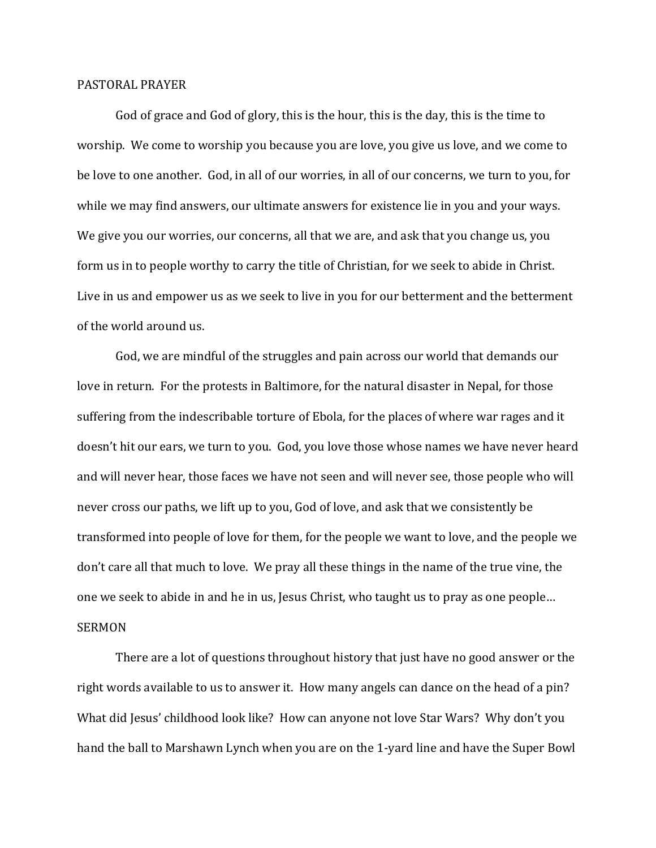## PASTORAL PRAYER

God of grace and God of glory, this is the hour, this is the day, this is the time to worship. We come to worship you because you are love, you give us love, and we come to be love to one another. God, in all of our worries, in all of our concerns, we turn to you, for while we may find answers, our ultimate answers for existence lie in you and your ways. We give you our worries, our concerns, all that we are, and ask that you change us, you form us in to people worthy to carry the title of Christian, for we seek to abide in Christ. Live in us and empower us as we seek to live in you for our betterment and the betterment of the world around us.

God, we are mindful of the struggles and pain across our world that demands our love in return. For the protests in Baltimore, for the natural disaster in Nepal, for those suffering from the indescribable torture of Ebola, for the places of where war rages and it doesn't hit our ears, we turn to you. God, you love those whose names we have never heard and will never hear, those faces we have not seen and will never see, those people who will never cross our paths, we lift up to you, God of love, and ask that we consistently be transformed into people of love for them, for the people we want to love, and the people we don't care all that much to love. We pray all these things in the name of the true vine, the one we seek to abide in and he in us, Jesus Christ, who taught us to pray as one people… SERMON

There are a lot of questions throughout history that just have no good answer or the right words available to us to answer it. How many angels can dance on the head of a pin? What did Jesus' childhood look like? How can anyone not love Star Wars? Why don't you hand the ball to Marshawn Lynch when you are on the 1-yard line and have the Super Bowl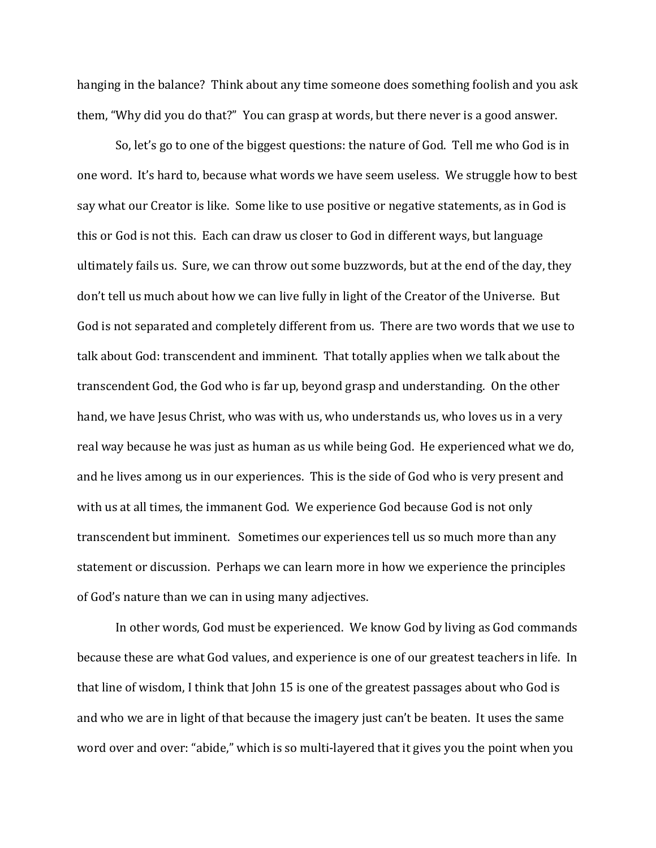hanging in the balance? Think about any time someone does something foolish and you ask them, "Why did you do that?" You can grasp at words, but there never is a good answer.

So, let's go to one of the biggest questions: the nature of God. Tell me who God is in one word. It's hard to, because what words we have seem useless. We struggle how to best say what our Creator is like. Some like to use positive or negative statements, as in God is this or God is not this. Each can draw us closer to God in different ways, but language ultimately fails us. Sure, we can throw out some buzzwords, but at the end of the day, they don't tell us much about how we can live fully in light of the Creator of the Universe. But God is not separated and completely different from us. There are two words that we use to talk about God: transcendent and imminent. That totally applies when we talk about the transcendent God, the God who is far up, beyond grasp and understanding. On the other hand, we have Jesus Christ, who was with us, who understands us, who loves us in a very real way because he was just as human as us while being God. He experienced what we do, and he lives among us in our experiences. This is the side of God who is very present and with us at all times, the immanent God. We experience God because God is not only transcendent but imminent. Sometimes our experiences tell us so much more than any statement or discussion. Perhaps we can learn more in how we experience the principles of God's nature than we can in using many adjectives.

In other words, God must be experienced. We know God by living as God commands because these are what God values, and experience is one of our greatest teachers in life. In that line of wisdom, I think that John 15 is one of the greatest passages about who God is and who we are in light of that because the imagery just can't be beaten. It uses the same word over and over: "abide," which is so multi-layered that it gives you the point when you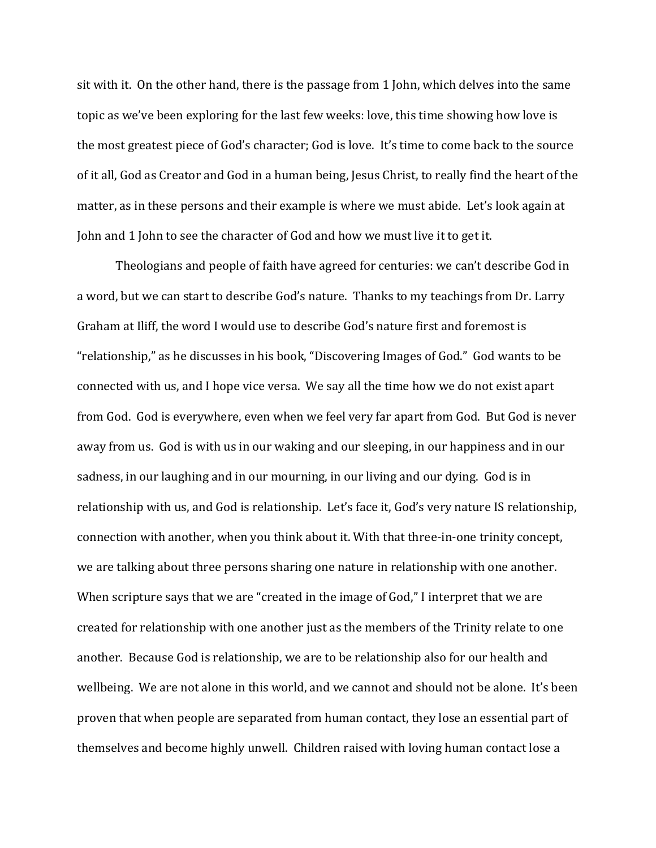sit with it. On the other hand, there is the passage from 1 John, which delves into the same topic as we've been exploring for the last few weeks: love, this time showing how love is the most greatest piece of God's character; God is love. It's time to come back to the source of it all, God as Creator and God in a human being, Jesus Christ, to really find the heart of the matter, as in these persons and their example is where we must abide. Let's look again at John and 1 John to see the character of God and how we must live it to get it.

Theologians and people of faith have agreed for centuries: we can't describe God in a word, but we can start to describe God's nature. Thanks to my teachings from Dr. Larry Graham at Iliff, the word I would use to describe God's nature first and foremost is "relationship," as he discusses in his book, "Discovering Images of God." God wants to be connected with us, and I hope vice versa. We say all the time how we do not exist apart from God. God is everywhere, even when we feel very far apart from God. But God is never away from us. God is with us in our waking and our sleeping, in our happiness and in our sadness, in our laughing and in our mourning, in our living and our dying. God is in relationship with us, and God is relationship. Let's face it, God's very nature IS relationship, connection with another, when you think about it. With that three-in-one trinity concept, we are talking about three persons sharing one nature in relationship with one another. When scripture says that we are "created in the image of God," I interpret that we are created for relationship with one another just as the members of the Trinity relate to one another. Because God is relationship, we are to be relationship also for our health and wellbeing. We are not alone in this world, and we cannot and should not be alone. It's been proven that when people are separated from human contact, they lose an essential part of themselves and become highly unwell. Children raised with loving human contact lose a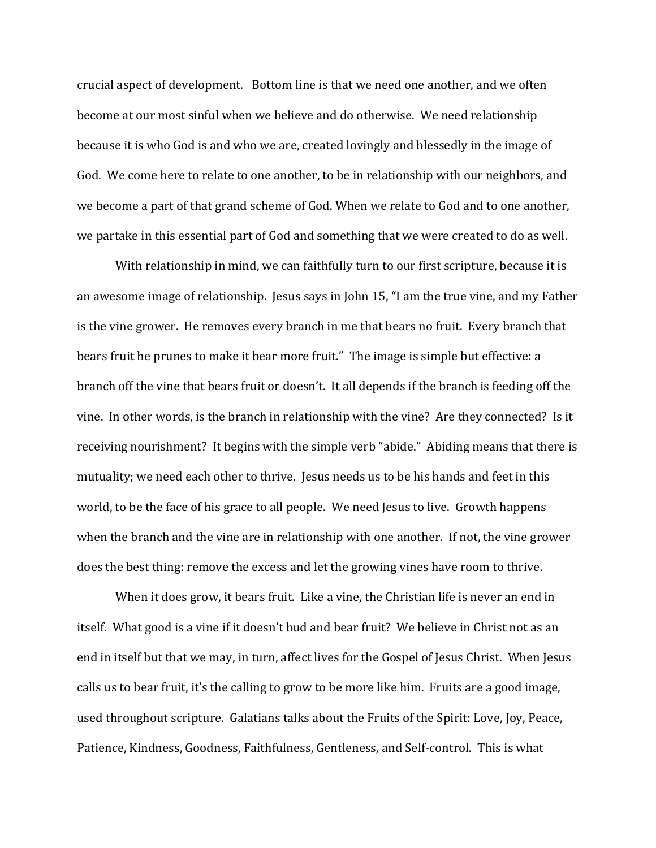crucial aspect of development. Bottom line is that we need one another, and we often become at our most sinful when we believe and do otherwise. We need relationship because it is who God is and who we are, created lovingly and blessedly in the image of God. We come here to relate to one another, to be in relationship with our neighbors, and we become a part of that grand scheme of God. When we relate to God and to one another, we partake in this essential part of God and something that we were created to do as well.

With relationship in mind, we can faithfully turn to our first scripture, because it is an awesome image of relationship. Jesus says in John 15, "I am the true vine, and my Father is the vine grower. He removes every branch in me that bears no fruit. Every branch that bears fruit he prunes to make it bear more fruit." The image is simple but effective: a branch off the vine that bears fruit or doesn't. It all depends if the branch is feeding off the vine. In other words, is the branch in relationship with the vine? Are they connected? Is it receiving nourishment? It begins with the simple verb "abide." Abiding means that there is mutuality; we need each other to thrive. Jesus needs us to be his hands and feet in this world, to be the face of his grace to all people. We need Jesus to live. Growth happens when the branch and the vine are in relationship with one another. If not, the vine grower does the best thing: remove the excess and let the growing vines have room to thrive.

When it does grow, it bears fruit. Like a vine, the Christian life is never an end in itself. What good is a vine if it doesn't bud and bear fruit? We believe in Christ not as an end in itself but that we may, in turn, affect lives for the Gospel of Jesus Christ. When Jesus calls us to bear fruit, it's the calling to grow to be more like him. Fruits are a good image, used throughout scripture. Galatians talks about the Fruits of the Spirit: Love, Joy, Peace, Patience, Kindness, Goodness, Faithfulness, Gentleness, and Self-control. This is what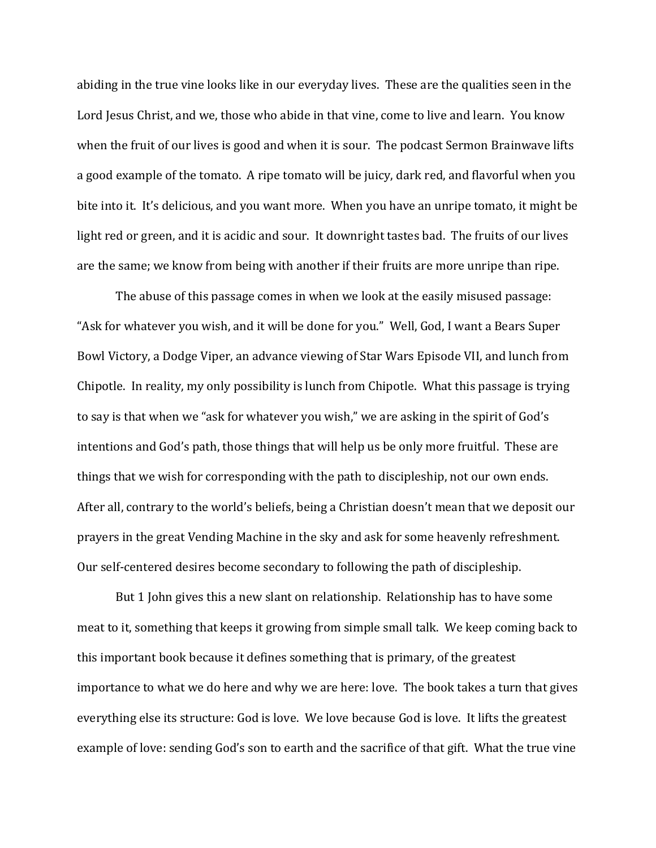abiding in the true vine looks like in our everyday lives. These are the qualities seen in the Lord Jesus Christ, and we, those who abide in that vine, come to live and learn. You know when the fruit of our lives is good and when it is sour. The podcast Sermon Brainwave lifts a good example of the tomato. A ripe tomato will be juicy, dark red, and flavorful when you bite into it. It's delicious, and you want more. When you have an unripe tomato, it might be light red or green, and it is acidic and sour. It downright tastes bad. The fruits of our lives are the same; we know from being with another if their fruits are more unripe than ripe.

The abuse of this passage comes in when we look at the easily misused passage: "Ask for whatever you wish, and it will be done for you." Well, God, I want a Bears Super Bowl Victory, a Dodge Viper, an advance viewing of Star Wars Episode VII, and lunch from Chipotle. In reality, my only possibility is lunch from Chipotle. What this passage is trying to say is that when we "ask for whatever you wish," we are asking in the spirit of God's intentions and God's path, those things that will help us be only more fruitful. These are things that we wish for corresponding with the path to discipleship, not our own ends. After all, contrary to the world's beliefs, being a Christian doesn't mean that we deposit our prayers in the great Vending Machine in the sky and ask for some heavenly refreshment. Our self-centered desires become secondary to following the path of discipleship.

But 1 John gives this a new slant on relationship. Relationship has to have some meat to it, something that keeps it growing from simple small talk. We keep coming back to this important book because it defines something that is primary, of the greatest importance to what we do here and why we are here: love. The book takes a turn that gives everything else its structure: God is love. We love because God is love. It lifts the greatest example of love: sending God's son to earth and the sacrifice of that gift. What the true vine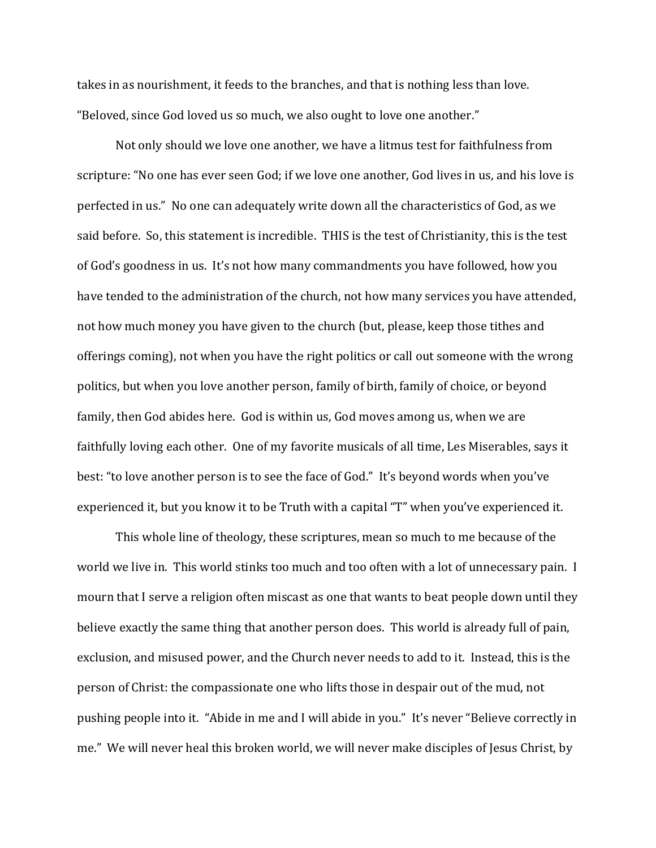takes in as nourishment, it feeds to the branches, and that is nothing less than love. "Beloved, since God loved us so much, we also ought to love one another."

Not only should we love one another, we have a litmus test for faithfulness from scripture: "No one has ever seen God; if we love one another, God lives in us, and his love is perfected in us." No one can adequately write down all the characteristics of God, as we said before. So, this statement is incredible. THIS is the test of Christianity, this is the test of God's goodness in us. It's not how many commandments you have followed, how you have tended to the administration of the church, not how many services you have attended, not how much money you have given to the church (but, please, keep those tithes and offerings coming), not when you have the right politics or call out someone with the wrong politics, but when you love another person, family of birth, family of choice, or beyond family, then God abides here. God is within us, God moves among us, when we are faithfully loving each other. One of my favorite musicals of all time, Les Miserables, says it best: "to love another person is to see the face of God." It's beyond words when you've experienced it, but you know it to be Truth with a capital "T" when you've experienced it.

This whole line of theology, these scriptures, mean so much to me because of the world we live in. This world stinks too much and too often with a lot of unnecessary pain. I mourn that I serve a religion often miscast as one that wants to beat people down until they believe exactly the same thing that another person does. This world is already full of pain, exclusion, and misused power, and the Church never needs to add to it. Instead, this is the person of Christ: the compassionate one who lifts those in despair out of the mud, not pushing people into it. "Abide in me and I will abide in you." It's never "Believe correctly in me." We will never heal this broken world, we will never make disciples of Jesus Christ, by